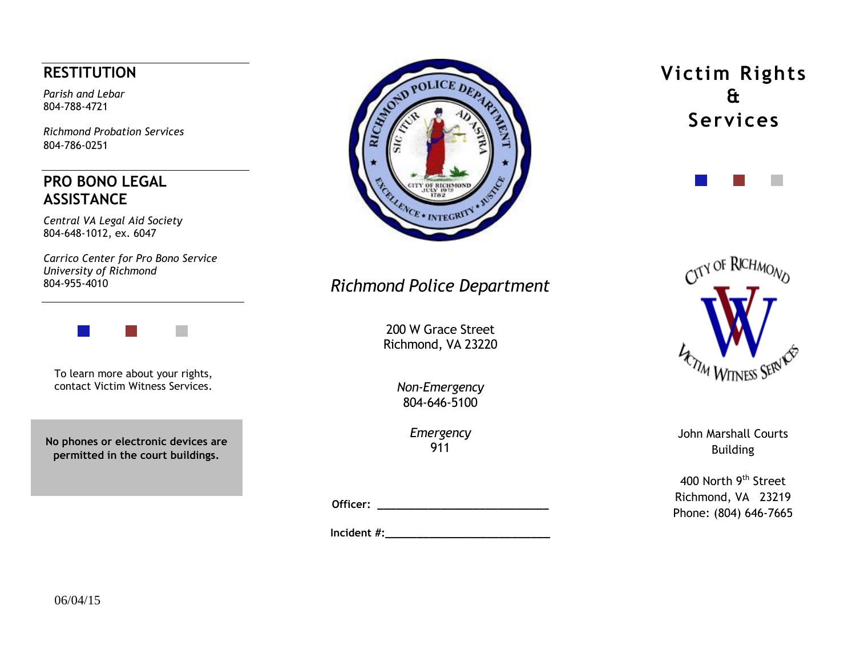## **RESTITUTION**

*Parish and Lebar* 804-788-4721

*Richmond Probation Services* 804-786-0251

### **PRO BONO LEGAL ASSISTANCE**

*Central VA Legal Aid Society* 804-648-1012, ex. 6047

*Carrico Center for Pro Bono Service University of Richmond* 804-955-4010



To learn more about your rights, contact Victim Witness Services.

**No phones or electronic devices are permitted in the court buildings.**



# *Richmond Police Department*

200 W Grace Street Richmond, VA 23220

> *Non-Emergency* 804-646-5100

> > *Emergency* 911

**Officer: \_\_\_\_\_\_\_\_\_\_\_\_\_\_\_\_\_\_\_\_\_\_\_\_\_\_\_**

**Incident #:** 

**Victim Rights & Services** 





John Marshall Courts Building

400 North 9<sup>th</sup> Street Richmond, VA 23219 Phone: (804) 646-7665

06/04/15